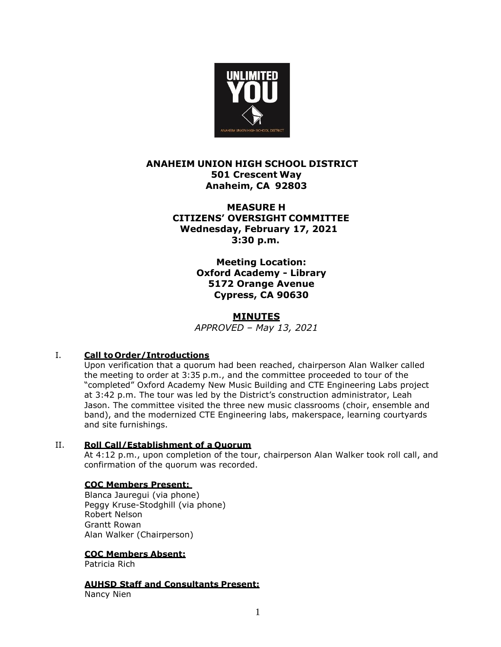

# **ANAHEIM UNION HIGH SCHOOL DISTRICT 501 Crescent Way Anaheim, CA 92803**

**MEASURE H CITIZENS' OVERSIGHT COMMITTEE Wednesday, February 17, 2021 3:30 p.m.**

> **Meeting Location: Oxford Academy - Library 5172 Orange Avenue Cypress, CA 90630**

## **MINUTES**

*APPROVED – May 13, 2021*

## I. **Call to Order/Introductions**

Upon verification that a quorum had been reached, chairperson Alan Walker called the meeting to order at 3:35 p.m., and the committee proceeded to tour of the "completed" Oxford Academy New Music Building and CTE Engineering Labs project at 3:42 p.m. The tour was led by the District's construction administrator, Leah Jason. The committee visited the three new music classrooms (choir, ensemble and band), and the modernized CTE Engineering labs, makerspace, learning courtyards and site furnishings.

## II. **Roll Call/Establishment of a Quorum**

At 4:12 p.m., upon completion of the tour, chairperson Alan Walker took roll call, and confirmation of the quorum was recorded.

## **COC Members Present:**

Blanca Jauregui (via phone) Peggy Kruse-Stodghill (via phone) Robert Nelson Grantt Rowan Alan Walker (Chairperson)

## **COC Members Absent:**

Patricia Rich

**AUHSD Staff and Consultants Present:**

Nancy Nien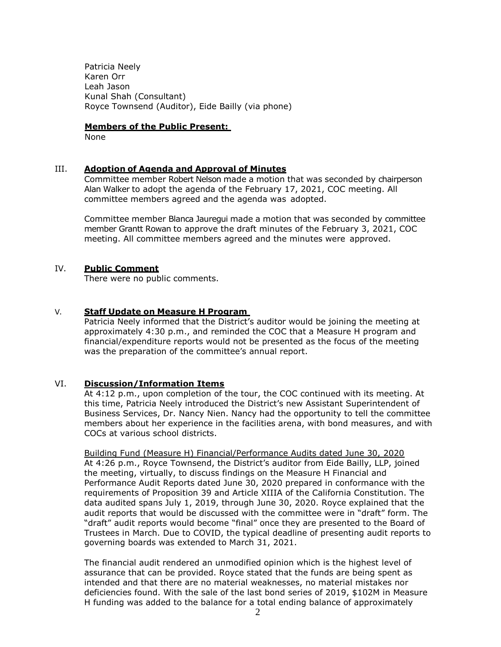Patricia Neely Karen Orr Leah Jason Kunal Shah (Consultant) Royce Townsend (Auditor), Eide Bailly (via phone)

#### **Members of the Public Present:**

None

#### III. **Adoption of Agenda and Approval of Minutes**

Committee member Robert Nelson made a motion that was seconded by chairperson Alan Walker to adopt the agenda of the February 17, 2021, COC meeting. All committee members agreed and the agenda was adopted.

Committee member Blanca Jauregui made a motion that was seconded by committee member Grantt Rowan to approve the draft minutes of the February 3, 2021, COC meeting. All committee members agreed and the minutes were approved.

#### IV. **Public Comment**

There were no public comments.

#### V. **Staff Update on Measure H Program**

Patricia Neely informed that the District's auditor would be joining the meeting at approximately 4:30 p.m., and reminded the COC that a Measure H program and financial/expenditure reports would not be presented as the focus of the meeting was the preparation of the committee's annual report.

## VI. **Discussion/Information Items**

At 4:12 p.m., upon completion of the tour, the COC continued with its meeting. At this time, Patricia Neely introduced the District's new Assistant Superintendent of Business Services, Dr. Nancy Nien. Nancy had the opportunity to tell the committee members about her experience in the facilities arena, with bond measures, and with COCs at various school districts.

Building Fund (Measure H) Financial/Performance Audits dated June 30, 2020 At 4:26 p.m., Royce Townsend, the District's auditor from Eide Bailly, LLP, joined the meeting, virtually, to discuss findings on the Measure H Financial and Performance Audit Reports dated June 30, 2020 prepared in conformance with the requirements of Proposition 39 and Article XIIIA of the California Constitution. The data audited spans July 1, 2019, through June 30, 2020. Royce explained that the audit reports that would be discussed with the committee were in "draft" form. The "draft" audit reports would become "final" once they are presented to the Board of Trustees in March. Due to COVID, the typical deadline of presenting audit reports to governing boards was extended to March 31, 2021.

The financial audit rendered an unmodified opinion which is the highest level of assurance that can be provided. Royce stated that the funds are being spent as intended and that there are no material weaknesses, no material mistakes nor deficiencies found. With the sale of the last bond series of 2019, \$102M in Measure H funding was added to the balance for a total ending balance of approximately